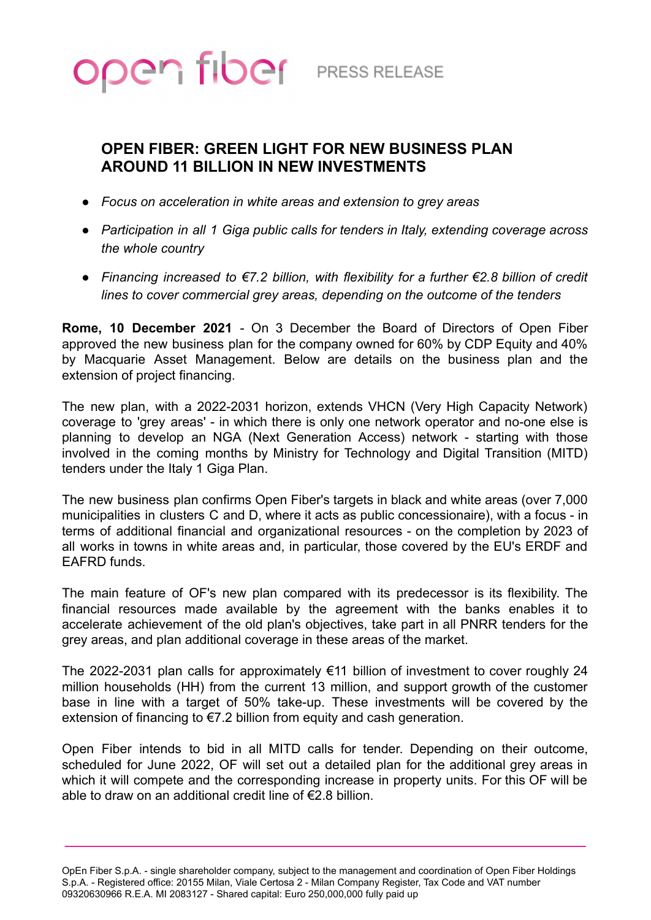

## **OPEN FIBER: GREEN LIGHT FOR NEW BUSINESS PLAN AROUND 11 BILLION IN NEW INVESTMENTS**

- *Focus on acceleration in white areas and extension to grey areas*
- *Participation in all 1 Giga public calls for tenders in Italy, extending coverage across the whole country*
- *Financing increased to €7.2 billion, with flexibility for a further €2.8 billion of credit lines to cover commercial grey areas, depending on the outcome of the tenders*

**Rome, 10 December 2021** - On 3 December the Board of Directors of Open Fiber approved the new business plan for the company owned for 60% by CDP Equity and 40% by Macquarie Asset Management. Below are details on the business plan and the extension of project financing.

The new plan, with a 2022-2031 horizon, extends VHCN (Very High Capacity Network) coverage to 'grey areas' - in which there is only one network operator and no-one else is planning to develop an NGA (Next Generation Access) network - starting with those involved in the coming months by Ministry for Technology and Digital Transition (MITD) tenders under the Italy 1 Giga Plan.

The new business plan confirms Open Fiber's targets in black and white areas (over 7,000 municipalities in clusters C and D, where it acts as public concessionaire), with a focus - in terms of additional financial and organizational resources - on the completion by 2023 of all works in towns in white areas and, in particular, those covered by the EU's ERDF and EAFRD funds.

The main feature of OF's new plan compared with its predecessor is its flexibility. The financial resources made available by the agreement with the banks enables it to accelerate achievement of the old plan's objectives, take part in all PNRR tenders for the grey areas, and plan additional coverage in these areas of the market.

The 2022-2031 plan calls for approximately €11 billion of investment to cover roughly 24 million households (HH) from the current 13 million, and support growth of the customer base in line with a target of 50% take-up. These investments will be covered by the extension of financing to €7.2 billion from equity and cash generation.

Open Fiber intends to bid in all MITD calls for tender. Depending on their outcome, scheduled for June 2022, OF will set out a detailed plan for the additional grey areas in which it will compete and the corresponding increase in property units. For this OF will be able to draw on an additional credit line of €2.8 billion.

OpEn Fiber S.p.A. - single shareholder company, subject to the management and coordination of Open Fiber Holdings S.p.A. - Registered office: 20155 Milan, Viale Certosa 2 - Milan Company Register, Tax Code and VAT number 09320630966 R.E.A. MI 2083127 - Shared capital: Euro 250,000,000 fully paid up